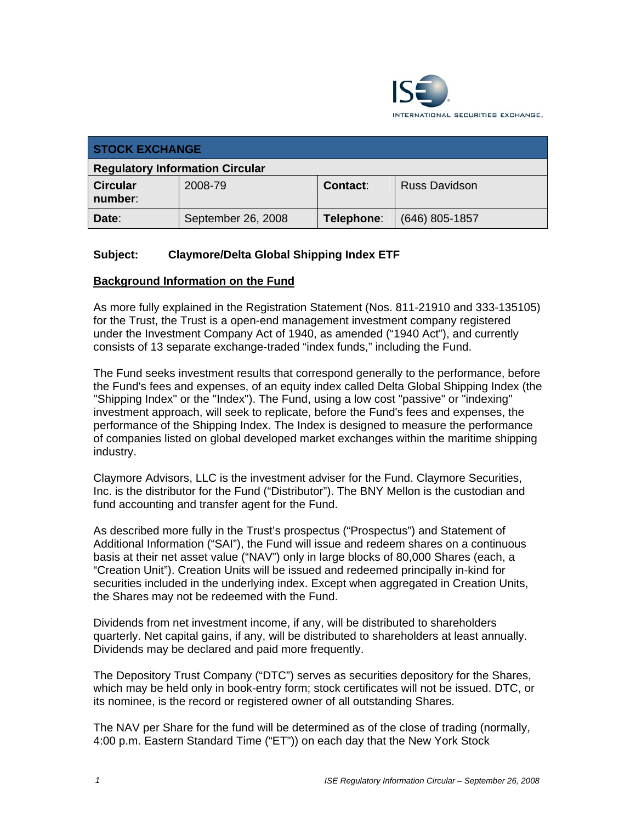

| <b>STOCK EXCHANGE</b>                  |                    |                 |                      |
|----------------------------------------|--------------------|-----------------|----------------------|
| <b>Regulatory Information Circular</b> |                    |                 |                      |
| <b>Circular</b><br>number:             | 2008-79            | <b>Contact:</b> | <b>Russ Davidson</b> |
| Date:                                  | September 26, 2008 | Telephone:      | $(646)$ 805-1857     |

## **Subject: Claymore/Delta Global Shipping Index ETF**

#### **Background Information on the Fund**

As more fully explained in the Registration Statement (Nos. 811-21910 and 333-135105) for the Trust, the Trust is a open-end management investment company registered under the Investment Company Act of 1940, as amended ("1940 Act"), and currently consists of 13 separate exchange-traded "index funds," including the Fund.

The Fund seeks investment results that correspond generally to the performance, before the Fund's fees and expenses, of an equity index called Delta Global Shipping Index (the "Shipping Index" or the "Index"). The Fund, using a low cost "passive" or "indexing" investment approach, will seek to replicate, before the Fund's fees and expenses, the performance of the Shipping Index. The Index is designed to measure the performance of companies listed on global developed market exchanges within the maritime shipping industry.

Claymore Advisors, LLC is the investment adviser for the Fund. Claymore Securities, Inc. is the distributor for the Fund ("Distributor"). The BNY Mellon is the custodian and fund accounting and transfer agent for the Fund.

As described more fully in the Trust's prospectus ("Prospectus") and Statement of Additional Information ("SAI"), the Fund will issue and redeem shares on a continuous basis at their net asset value ("NAV") only in large blocks of 80,000 Shares (each, a "Creation Unit"). Creation Units will be issued and redeemed principally in-kind for securities included in the underlying index. Except when aggregated in Creation Units, the Shares may not be redeemed with the Fund.

Dividends from net investment income, if any, will be distributed to shareholders quarterly. Net capital gains, if any, will be distributed to shareholders at least annually. Dividends may be declared and paid more frequently.

The Depository Trust Company ("DTC") serves as securities depository for the Shares, which may be held only in book-entry form; stock certificates will not be issued. DTC, or its nominee, is the record or registered owner of all outstanding Shares.

The NAV per Share for the fund will be determined as of the close of trading (normally, 4:00 p.m. Eastern Standard Time ("ET")) on each day that the New York Stock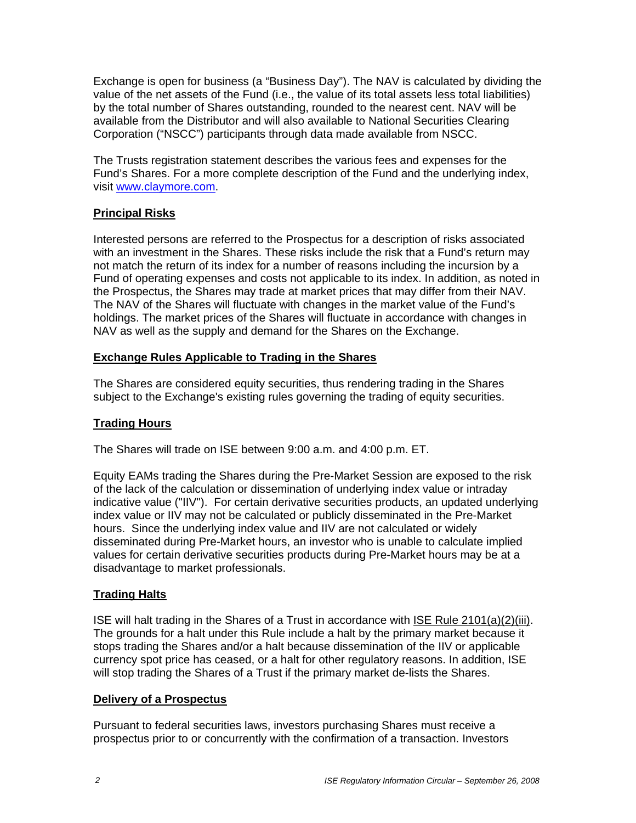Exchange is open for business (a "Business Day"). The NAV is calculated by dividing the value of the net assets of the Fund (i.e., the value of its total assets less total liabilities) by the total number of Shares outstanding, rounded to the nearest cent. NAV will be available from the Distributor and will also available to National Securities Clearing Corporation ("NSCC") participants through data made available from NSCC.

The Trusts registration statement describes the various fees and expenses for the Fund's Shares. For a more complete description of the Fund and the underlying index, visit www.claymore.com.

# **Principal Risks**

Interested persons are referred to the Prospectus for a description of risks associated with an investment in the Shares. These risks include the risk that a Fund's return may not match the return of its index for a number of reasons including the incursion by a Fund of operating expenses and costs not applicable to its index. In addition, as noted in the Prospectus, the Shares may trade at market prices that may differ from their NAV. The NAV of the Shares will fluctuate with changes in the market value of the Fund's holdings. The market prices of the Shares will fluctuate in accordance with changes in NAV as well as the supply and demand for the Shares on the Exchange.

## **Exchange Rules Applicable to Trading in the Shares**

The Shares are considered equity securities, thus rendering trading in the Shares subject to the Exchange's existing rules governing the trading of equity securities.

# **Trading Hours**

The Shares will trade on ISE between 9:00 a.m. and 4:00 p.m. ET.

Equity EAMs trading the Shares during the Pre-Market Session are exposed to the risk of the lack of the calculation or dissemination of underlying index value or intraday indicative value ("IIV"). For certain derivative securities products, an updated underlying index value or IIV may not be calculated or publicly disseminated in the Pre-Market hours. Since the underlying index value and IIV are not calculated or widely disseminated during Pre-Market hours, an investor who is unable to calculate implied values for certain derivative securities products during Pre-Market hours may be at a disadvantage to market professionals.

# **Trading Halts**

ISE will halt trading in the Shares of a Trust in accordance with ISE Rule 2101(a)(2)(iii). The grounds for a halt under this Rule include a halt by the primary market because it stops trading the Shares and/or a halt because dissemination of the IIV or applicable currency spot price has ceased, or a halt for other regulatory reasons. In addition, ISE will stop trading the Shares of a Trust if the primary market de-lists the Shares.

### **Delivery of a Prospectus**

Pursuant to federal securities laws, investors purchasing Shares must receive a prospectus prior to or concurrently with the confirmation of a transaction. Investors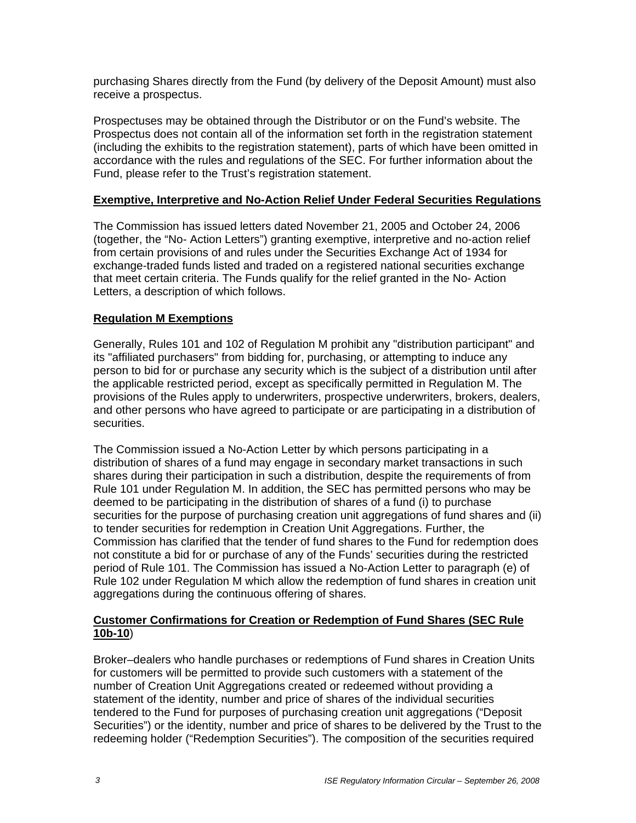purchasing Shares directly from the Fund (by delivery of the Deposit Amount) must also receive a prospectus.

Prospectuses may be obtained through the Distributor or on the Fund's website. The Prospectus does not contain all of the information set forth in the registration statement (including the exhibits to the registration statement), parts of which have been omitted in accordance with the rules and regulations of the SEC. For further information about the Fund, please refer to the Trust's registration statement.

### **Exemptive, Interpretive and No-Action Relief Under Federal Securities Regulations**

The Commission has issued letters dated November 21, 2005 and October 24, 2006 (together, the "No- Action Letters") granting exemptive, interpretive and no-action relief from certain provisions of and rules under the Securities Exchange Act of 1934 for exchange-traded funds listed and traded on a registered national securities exchange that meet certain criteria. The Funds qualify for the relief granted in the No- Action Letters, a description of which follows.

## **Regulation M Exemptions**

Generally, Rules 101 and 102 of Regulation M prohibit any "distribution participant" and its "affiliated purchasers" from bidding for, purchasing, or attempting to induce any person to bid for or purchase any security which is the subject of a distribution until after the applicable restricted period, except as specifically permitted in Regulation M. The provisions of the Rules apply to underwriters, prospective underwriters, brokers, dealers, and other persons who have agreed to participate or are participating in a distribution of securities.

The Commission issued a No-Action Letter by which persons participating in a distribution of shares of a fund may engage in secondary market transactions in such shares during their participation in such a distribution, despite the requirements of from Rule 101 under Regulation M. In addition, the SEC has permitted persons who may be deemed to be participating in the distribution of shares of a fund (i) to purchase securities for the purpose of purchasing creation unit aggregations of fund shares and (ii) to tender securities for redemption in Creation Unit Aggregations. Further, the Commission has clarified that the tender of fund shares to the Fund for redemption does not constitute a bid for or purchase of any of the Funds' securities during the restricted period of Rule 101. The Commission has issued a No-Action Letter to paragraph (e) of Rule 102 under Regulation M which allow the redemption of fund shares in creation unit aggregations during the continuous offering of shares.

### **Customer Confirmations for Creation or Redemption of Fund Shares (SEC Rule 10b-10**)

Broker–dealers who handle purchases or redemptions of Fund shares in Creation Units for customers will be permitted to provide such customers with a statement of the number of Creation Unit Aggregations created or redeemed without providing a statement of the identity, number and price of shares of the individual securities tendered to the Fund for purposes of purchasing creation unit aggregations ("Deposit Securities") or the identity, number and price of shares to be delivered by the Trust to the redeeming holder ("Redemption Securities"). The composition of the securities required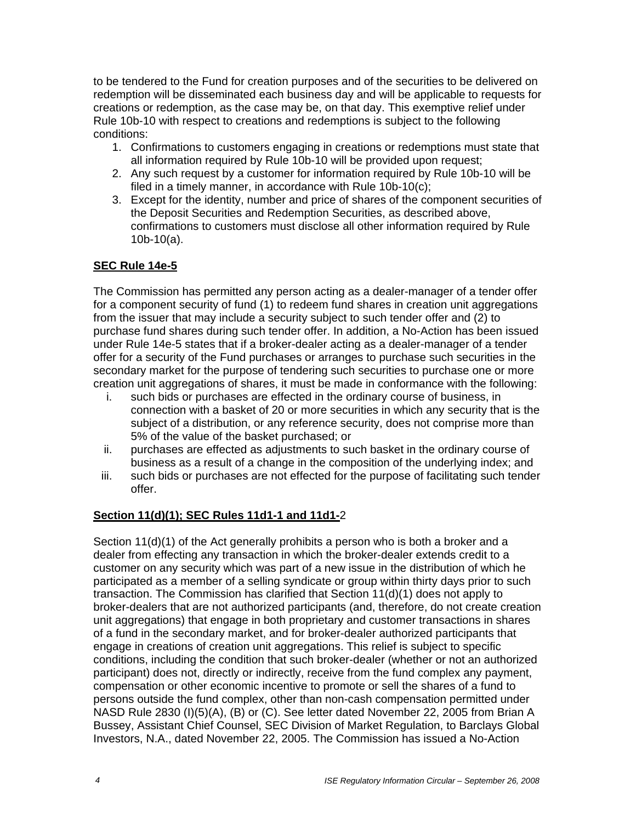to be tendered to the Fund for creation purposes and of the securities to be delivered on redemption will be disseminated each business day and will be applicable to requests for creations or redemption, as the case may be, on that day. This exemptive relief under Rule 10b-10 with respect to creations and redemptions is subject to the following conditions:

- 1. Confirmations to customers engaging in creations or redemptions must state that all information required by Rule 10b-10 will be provided upon request;
- 2. Any such request by a customer for information required by Rule 10b-10 will be filed in a timely manner, in accordance with Rule 10b-10(c);
- 3. Except for the identity, number and price of shares of the component securities of the Deposit Securities and Redemption Securities, as described above, confirmations to customers must disclose all other information required by Rule 10b-10(a).

## **SEC Rule 14e-5**

The Commission has permitted any person acting as a dealer-manager of a tender offer for a component security of fund (1) to redeem fund shares in creation unit aggregations from the issuer that may include a security subject to such tender offer and (2) to purchase fund shares during such tender offer. In addition, a No-Action has been issued under Rule 14e-5 states that if a broker-dealer acting as a dealer-manager of a tender offer for a security of the Fund purchases or arranges to purchase such securities in the secondary market for the purpose of tendering such securities to purchase one or more creation unit aggregations of shares, it must be made in conformance with the following:

- i. such bids or purchases are effected in the ordinary course of business, in connection with a basket of 20 or more securities in which any security that is the subject of a distribution, or any reference security, does not comprise more than 5% of the value of the basket purchased; or
- ii. purchases are effected as adjustments to such basket in the ordinary course of business as a result of a change in the composition of the underlying index; and
- iii. such bids or purchases are not effected for the purpose of facilitating such tender offer.

### **Section 11(d)(1); SEC Rules 11d1-1 and 11d1-**2

Section 11(d)(1) of the Act generally prohibits a person who is both a broker and a dealer from effecting any transaction in which the broker-dealer extends credit to a customer on any security which was part of a new issue in the distribution of which he participated as a member of a selling syndicate or group within thirty days prior to such transaction. The Commission has clarified that Section 11(d)(1) does not apply to broker-dealers that are not authorized participants (and, therefore, do not create creation unit aggregations) that engage in both proprietary and customer transactions in shares of a fund in the secondary market, and for broker-dealer authorized participants that engage in creations of creation unit aggregations. This relief is subject to specific conditions, including the condition that such broker-dealer (whether or not an authorized participant) does not, directly or indirectly, receive from the fund complex any payment, compensation or other economic incentive to promote or sell the shares of a fund to persons outside the fund complex, other than non-cash compensation permitted under NASD Rule 2830 (I)(5)(A), (B) or (C). See letter dated November 22, 2005 from Brian A Bussey, Assistant Chief Counsel, SEC Division of Market Regulation, to Barclays Global Investors, N.A., dated November 22, 2005. The Commission has issued a No-Action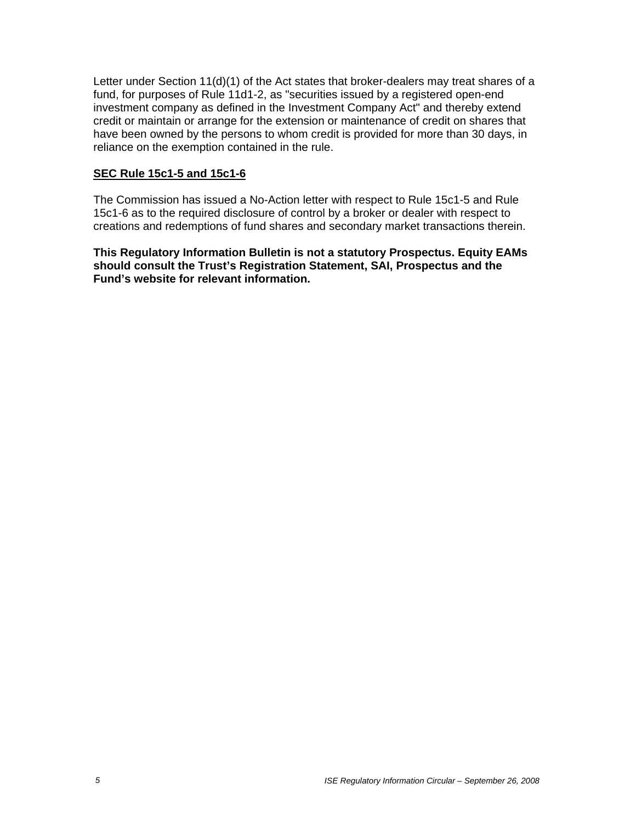Letter under Section 11(d)(1) of the Act states that broker-dealers may treat shares of a fund, for purposes of Rule 11d1-2, as "securities issued by a registered open-end investment company as defined in the Investment Company Act" and thereby extend credit or maintain or arrange for the extension or maintenance of credit on shares that have been owned by the persons to whom credit is provided for more than 30 days, in reliance on the exemption contained in the rule.

#### **SEC Rule 15c1-5 and 15c1-6**

The Commission has issued a No-Action letter with respect to Rule 15c1-5 and Rule 15c1-6 as to the required disclosure of control by a broker or dealer with respect to creations and redemptions of fund shares and secondary market transactions therein.

**This Regulatory Information Bulletin is not a statutory Prospectus. Equity EAMs should consult the Trust's Registration Statement, SAI, Prospectus and the Fund's website for relevant information.**